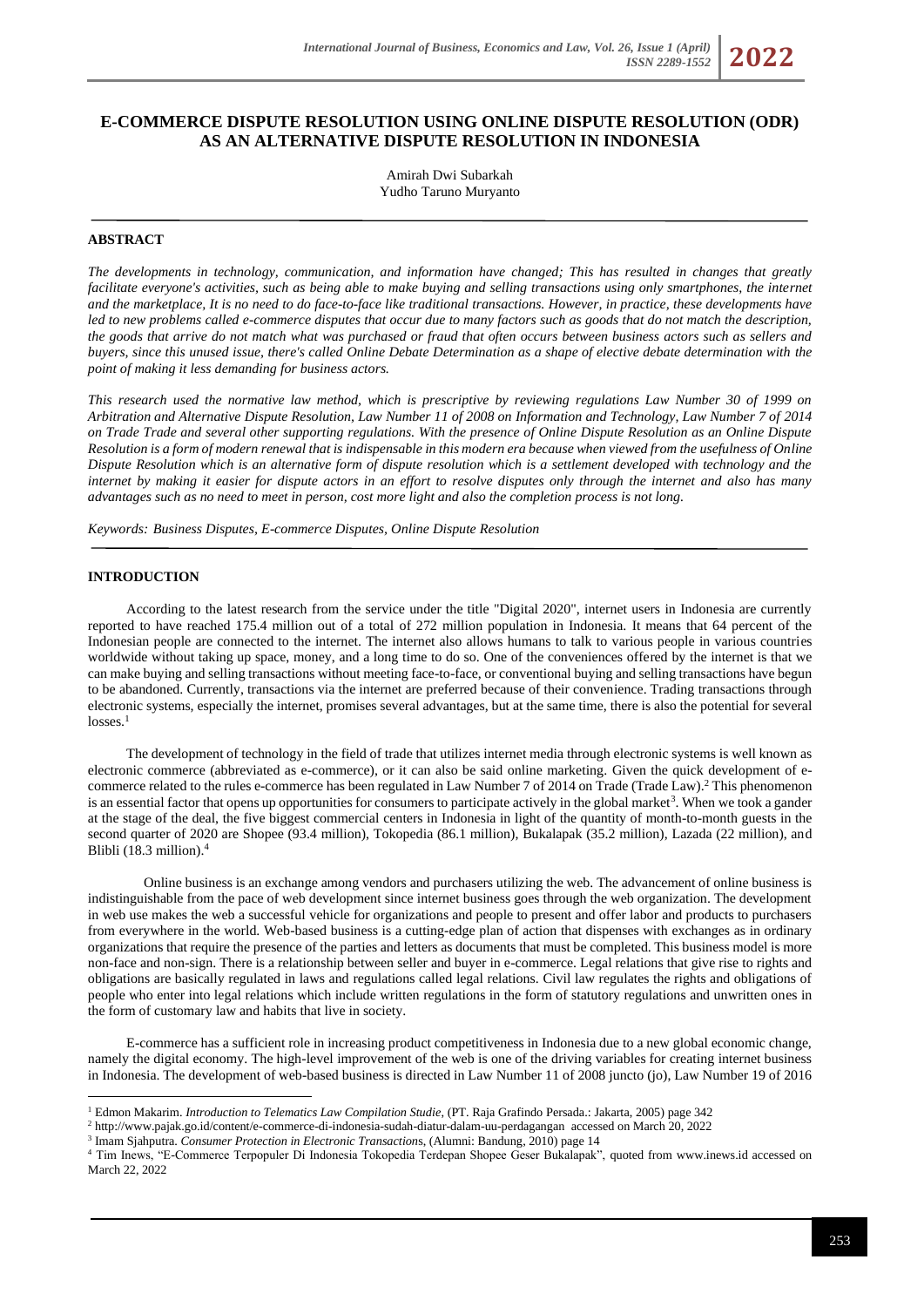# **E-COMMERCE DISPUTE RESOLUTION USING ONLINE DISPUTE RESOLUTION (ODR) AS AN ALTERNATIVE DISPUTE RESOLUTION IN INDONESIA**

Amirah Dwi Subarkah Yudho Taruno Muryanto

### **ABSTRACT**

*The developments in technology, communication, and information have changed; This has resulted in changes that greatly facilitate everyone's activities, such as being able to make buying and selling transactions using only smartphones, the internet and the marketplace, It is no need to do face-to-face like traditional transactions. However, in practice, these developments have led to new problems called e-commerce disputes that occur due to many factors such as goods that do not match the description, the goods that arrive do not match what was purchased or fraud that often occurs between business actors such as sellers and buyers, since this unused issue, there's called Online Debate Determination as a shape of elective debate determination with the point of making it less demanding for business actors.* 

*This research used the normative law method, which is prescriptive by reviewing regulations Law Number 30 of 1999 on Arbitration and Alternative Dispute Resolution, Law Number 11 of 2008 on Information and Technology, Law Number 7 of 2014 on Trade Trade and several other supporting regulations. With the presence of Online Dispute Resolution as an Online Dispute Resolution is a form of modern renewal that is indispensable in this modern era because when viewed from the usefulness of Online Dispute Resolution which is an alternative form of dispute resolution which is a settlement developed with technology and the internet by making it easier for dispute actors in an effort to resolve disputes only through the internet and also has many advantages such as no need to meet in person, cost more light and also the completion process is not long.*

*Keywords: Business Disputes, E-commerce Disputes, Online Dispute Resolution*

# **INTRODUCTION**

 According to the latest research from the service under the title "Digital 2020", internet users in Indonesia are currently reported to have reached 175.4 million out of a total of 272 million population in Indonesia. It means that 64 percent of the Indonesian people are connected to the internet. The internet also allows humans to talk to various people in various countries worldwide without taking up space, money, and a long time to do so. One of the conveniences offered by the internet is that we can make buying and selling transactions without meeting face-to-face, or conventional buying and selling transactions have begun to be abandoned. Currently, transactions via the internet are preferred because of their convenience. Trading transactions through electronic systems, especially the internet, promises several advantages, but at the same time, there is also the potential for several losses.<sup>1</sup>

 The development of technology in the field of trade that utilizes internet media through electronic systems is well known as electronic commerce (abbreviated as e-commerce), or it can also be said online marketing. Given the quick development of ecommerce related to the rules e-commerce has been regulated in Law Number 7 of 2014 on Trade (Trade Law).<sup>2</sup> This phenomenon is an essential factor that opens up opportunities for consumers to participate actively in the global market<sup>3</sup>. When we took a gander at the stage of the deal, the five biggest commercial centers in Indonesia in light of the quantity of month-to-month guests in the second quarter of 2020 are Shopee (93.4 million), Tokopedia (86.1 million), Bukalapak (35.2 million), Lazada (22 million), and Blibli (18.3 million).<sup>4</sup>

Online business is an exchange among vendors and purchasers utilizing the web. The advancement of online business is indistinguishable from the pace of web development since internet business goes through the web organization. The development in web use makes the web a successful vehicle for organizations and people to present and offer labor and products to purchasers from everywhere in the world. Web-based business is a cutting-edge plan of action that dispenses with exchanges as in ordinary organizations that require the presence of the parties and letters as documents that must be completed. This business model is more non-face and non-sign. There is a relationship between seller and buyer in e-commerce. Legal relations that give rise to rights and obligations are basically regulated in laws and regulations called legal relations. Civil law regulates the rights and obligations of people who enter into legal relations which include written regulations in the form of statutory regulations and unwritten ones in the form of customary law and habits that live in society.

 E-commerce has a sufficient role in increasing product competitiveness in Indonesia due to a new global economic change, namely the digital economy. The high-level improvement of the web is one of the driving variables for creating internet business in Indonesia. The development of web-based business is directed in Law Number 11 of 2008 juncto (jo), Law Number 19 of 2016

<sup>1</sup> Edmon Makarim. *Introduction to Telematics Law Compilation Studie*, (PT. Raja Grafindo Persada.: Jakarta, 2005) page 342

<sup>2</sup> [http://www.pajak.go.id/content/e-commerce-di-indonesia-sudah-diatur-dalam-uu-p](http://www.pajak.go.id/content/e-commerce-di-indonesia-sudah-diatur-dalam-uu-)erdagangan accessed on March 20, 2022

<sup>3</sup> Imam Sjahputra. *Consumer Protection in Electronic Transaction*s, (Alumni: Bandung, 2010) page 14

<sup>4</sup> Tim Inews, "E-Commerce Terpopuler Di Indonesia Tokopedia Terdepan Shopee Geser Bukalapak", quoted from www.inews.id accessed on March 22, 2022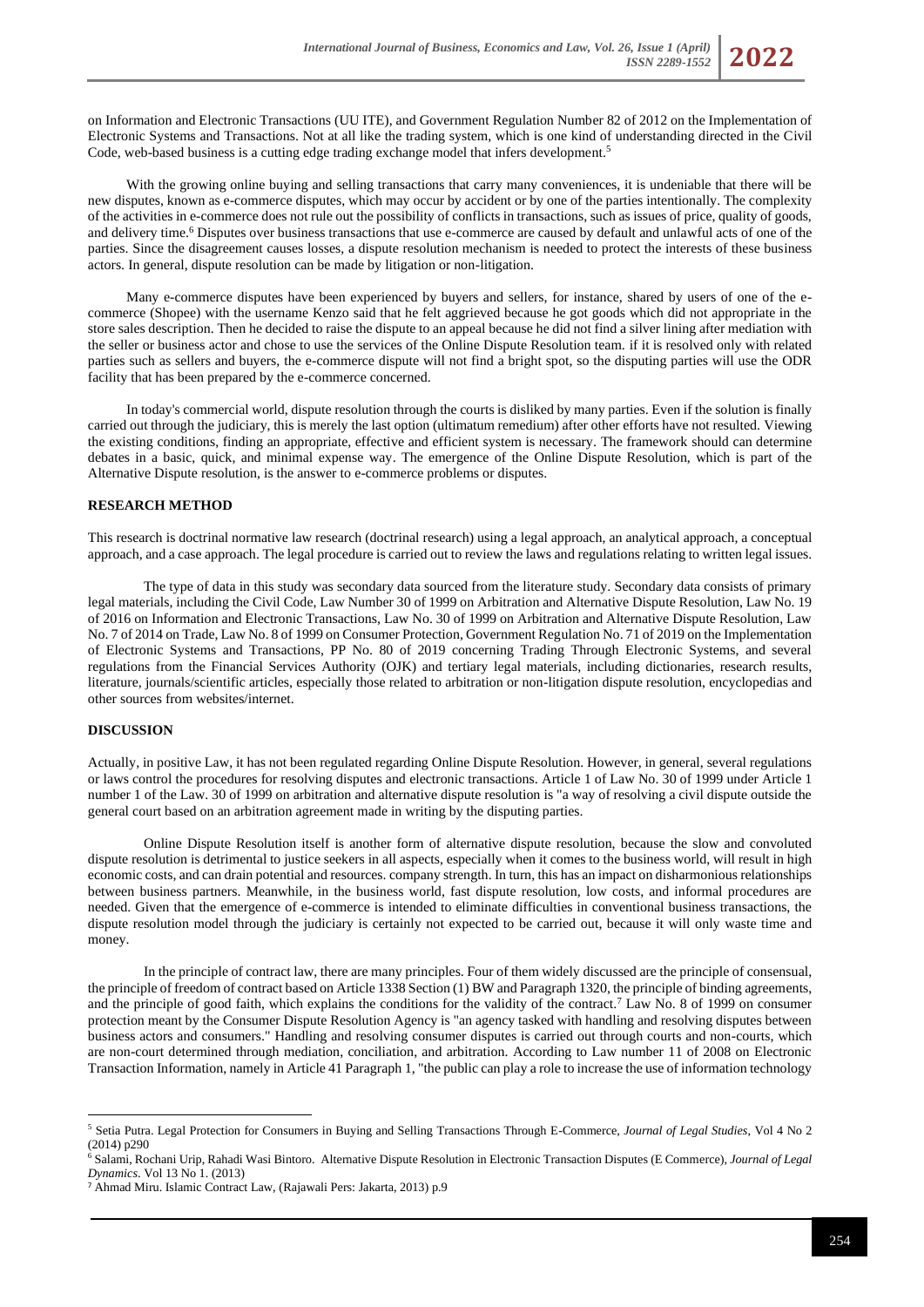on Information and Electronic Transactions (UU ITE), and Government Regulation Number 82 of 2012 on the Implementation of Electronic Systems and Transactions. Not at all like the trading system, which is one kind of understanding directed in the Civil Code, web-based business is a cutting edge trading exchange model that infers development.<sup>5</sup>

With the growing online buying and selling transactions that carry many conveniences, it is undeniable that there will be new disputes, known as e-commerce disputes, which may occur by accident or by one of the parties intentionally. The complexity of the activities in e-commerce does not rule out the possibility of conflicts in transactions, such as issues of price, quality of goods, and delivery time.<sup>6</sup> Disputes over business transactions that use e-commerce are caused by default and unlawful acts of one of the parties. Since the disagreement causes losses, a dispute resolution mechanism is needed to protect the interests of these business actors. In general, dispute resolution can be made by litigation or non-litigation.

 Many e-commerce disputes have been experienced by buyers and sellers, for instance, shared by users of one of the ecommerce (Shopee) with the username Kenzo said that he felt aggrieved because he got goods which did not appropriate in the store sales description. Then he decided to raise the dispute to an appeal because he did not find a silver lining after mediation with the seller or business actor and chose to use the services of the Online Dispute Resolution team. if it is resolved only with related parties such as sellers and buyers, the e-commerce dispute will not find a bright spot, so the disputing parties will use the ODR facility that has been prepared by the e-commerce concerned.

 In today's commercial world, dispute resolution through the courts is disliked by many parties. Even if the solution is finally carried out through the judiciary, this is merely the last option (ultimatum remedium) after other efforts have not resulted. Viewing the existing conditions, finding an appropriate, effective and efficient system is necessary. The framework should can determine debates in a basic, quick, and minimal expense way. The emergence of the Online Dispute Resolution, which is part of the Alternative Dispute resolution, is the answer to e-commerce problems or disputes.

### **RESEARCH METHOD**

This research is doctrinal normative law research (doctrinal research) using a legal approach, an analytical approach, a conceptual approach, and a case approach. The legal procedure is carried out to review the laws and regulations relating to written legal issues.

The type of data in this study was secondary data sourced from the literature study. Secondary data consists of primary legal materials, including the Civil Code, Law Number 30 of 1999 on Arbitration and Alternative Dispute Resolution, Law No. 19 of 2016 on Information and Electronic Transactions, Law No. 30 of 1999 on Arbitration and Alternative Dispute Resolution, Law No. 7 of 2014 on Trade, Law No. 8 of 1999 on Consumer Protection, Government Regulation No. 71 of 2019 on the Implementation of Electronic Systems and Transactions, PP No. 80 of 2019 concerning Trading Through Electronic Systems, and several regulations from the Financial Services Authority (OJK) and tertiary legal materials, including dictionaries, research results, literature, journals/scientific articles, especially those related to arbitration or non-litigation dispute resolution, encyclopedias and other sources from websites/internet.

# **DISCUSSION**

Actually, in positive Law, it has not been regulated regarding Online Dispute Resolution. However, in general, several regulations or laws control the procedures for resolving disputes and electronic transactions. Article 1 of Law No. 30 of 1999 under Article 1 number 1 of the Law. 30 of 1999 on arbitration and alternative dispute resolution is "a way of resolving a civil dispute outside the general court based on an arbitration agreement made in writing by the disputing parties.

Online Dispute Resolution itself is another form of alternative dispute resolution, because the slow and convoluted dispute resolution is detrimental to justice seekers in all aspects, especially when it comes to the business world, will result in high economic costs, and can drain potential and resources. company strength. In turn, this has an impact on disharmonious relationships between business partners. Meanwhile, in the business world, fast dispute resolution, low costs, and informal procedures are needed. Given that the emergence of e-commerce is intended to eliminate difficulties in conventional business transactions, the dispute resolution model through the judiciary is certainly not expected to be carried out, because it will only waste time and money.

In the principle of contract law, there are many principles. Four of them widely discussed are the principle of consensual, the principle of freedom of contract based on Article 1338 Section (1) BW and Paragraph 1320, the principle of binding agreements, and the principle of good faith, which explains the conditions for the validity of the contract.<sup>7</sup> Law No. 8 of 1999 on consumer protection meant by the Consumer Dispute Resolution Agency is "an agency tasked with handling and resolving disputes between business actors and consumers." Handling and resolving consumer disputes is carried out through courts and non-courts, which are non-court determined through mediation, conciliation, and arbitration. According to Law number 11 of 2008 on Electronic Transaction Information, namely in Article 41 Paragraph 1, "the public can play a role to increase the use of information technology

<sup>5</sup> Setia Putra. Legal Protection for Consumers in Buying and Selling Transactions Through E-Commerce, *Journal of Legal Studies*, Vol 4 No 2 (2014) p290

<sup>6</sup> Salami, Rochani Urip, Rahadi Wasi Bintoro. Alternative Dispute Resolution in Electronic Transaction Disputes (E Commerce), *Journal of Legal Dynamics*. Vol 13 No 1. (2013)

<sup>7</sup> Ahmad Miru. Islamic Contract Law, (Rajawali Pers: Jakarta, 2013) p.9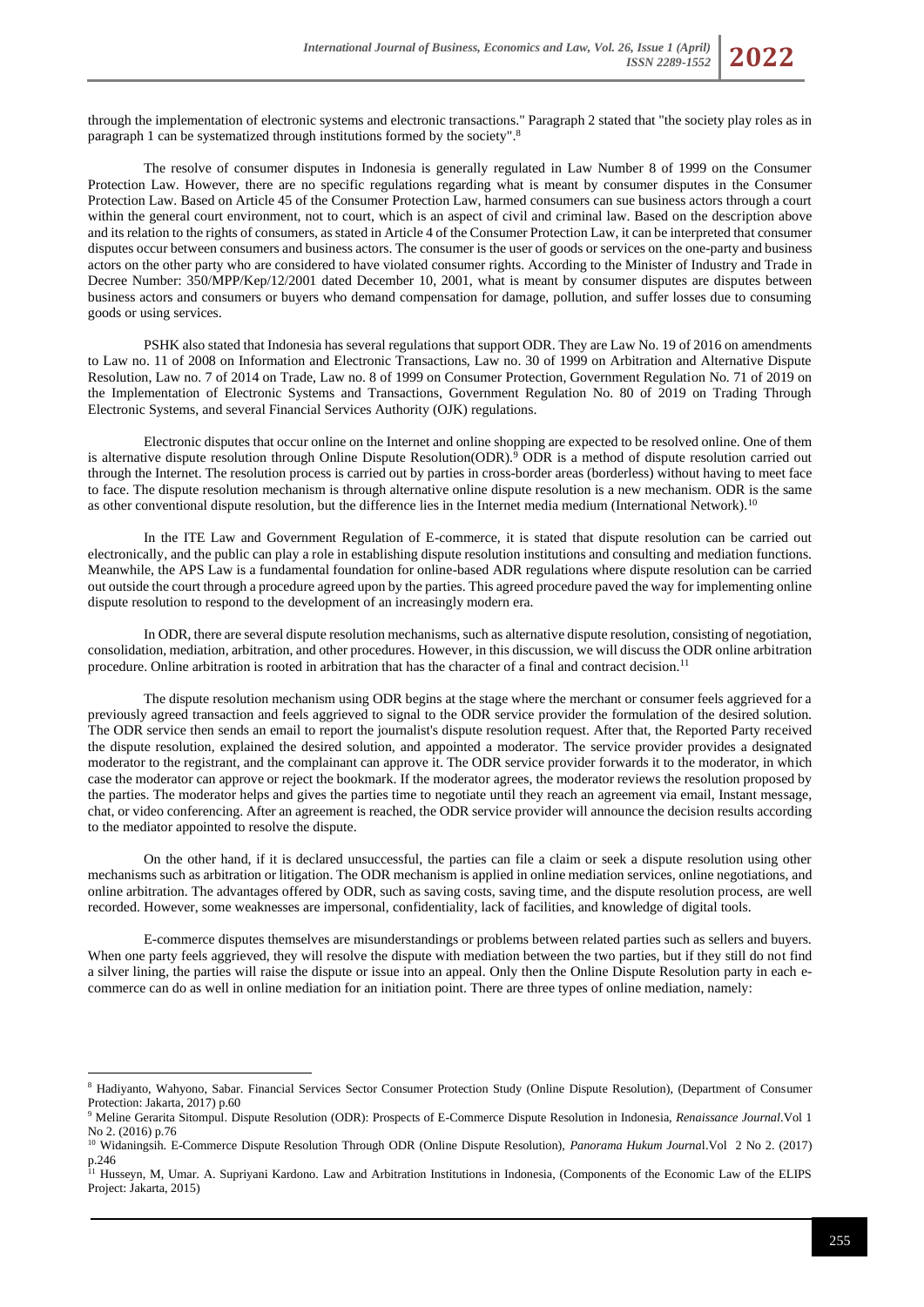

The resolve of consumer disputes in Indonesia is generally regulated in Law Number 8 of 1999 on the Consumer Protection Law. However, there are no specific regulations regarding what is meant by consumer disputes in the Consumer Protection Law. Based on Article 45 of the Consumer Protection Law, harmed consumers can sue business actors through a court within the general court environment, not to court, which is an aspect of civil and criminal law. Based on the description above and its relation to the rights of consumers, as stated in Article 4 of the Consumer Protection Law, it can be interpreted that consumer disputes occur between consumers and business actors. The consumer is the user of goods or services on the one-party and business actors on the other party who are considered to have violated consumer rights. According to the Minister of Industry and Trade in Decree Number: 350/MPP/Kep/12/2001 dated December 10, 2001, what is meant by consumer disputes are disputes between business actors and consumers or buyers who demand compensation for damage, pollution, and suffer losses due to consuming goods or using services.

PSHK also stated that Indonesia has several regulations that support ODR. They are Law No. 19 of 2016 on amendments to Law no. 11 of 2008 on Information and Electronic Transactions, Law no. 30 of 1999 on Arbitration and Alternative Dispute Resolution, Law no. 7 of 2014 on Trade, Law no. 8 of 1999 on Consumer Protection, Government Regulation No. 71 of 2019 on the Implementation of Electronic Systems and Transactions, Government Regulation No. 80 of 2019 on Trading Through Electronic Systems, and several Financial Services Authority (OJK) regulations.

Electronic disputes that occur online on the Internet and online shopping are expected to be resolved online. One of them is alternative dispute resolution through Online Dispute Resolution(ODR).<sup>9</sup> ODR is a method of dispute resolution carried out through the Internet. The resolution process is carried out by parties in cross-border areas (borderless) without having to meet face to face. The dispute resolution mechanism is through alternative online dispute resolution is a new mechanism. ODR is the same as other conventional dispute resolution, but the difference lies in the Internet media medium (International Network).<sup>10</sup>

In the ITE Law and Government Regulation of E-commerce, it is stated that dispute resolution can be carried out electronically, and the public can play a role in establishing dispute resolution institutions and consulting and mediation functions. Meanwhile, the APS Law is a fundamental foundation for online-based ADR regulations where dispute resolution can be carried out outside the court through a procedure agreed upon by the parties. This agreed procedure paved the way for implementing online dispute resolution to respond to the development of an increasingly modern era.

In ODR, there are several dispute resolution mechanisms, such as alternative dispute resolution, consisting of negotiation, consolidation, mediation, arbitration, and other procedures. However, in this discussion, we will discuss the ODR online arbitration procedure. Online arbitration is rooted in arbitration that has the character of a final and contract decision.<sup>11</sup>

The dispute resolution mechanism using ODR begins at the stage where the merchant or consumer feels aggrieved for a previously agreed transaction and feels aggrieved to signal to the ODR service provider the formulation of the desired solution. The ODR service then sends an email to report the journalist's dispute resolution request. After that, the Reported Party received the dispute resolution, explained the desired solution, and appointed a moderator. The service provider provides a designated moderator to the registrant, and the complainant can approve it. The ODR service provider forwards it to the moderator, in which case the moderator can approve or reject the bookmark. If the moderator agrees, the moderator reviews the resolution proposed by the parties. The moderator helps and gives the parties time to negotiate until they reach an agreement via email, Instant message, chat, or video conferencing. After an agreement is reached, the ODR service provider will announce the decision results according to the mediator appointed to resolve the dispute.

On the other hand, if it is declared unsuccessful, the parties can file a claim or seek a dispute resolution using other mechanisms such as arbitration or litigation. The ODR mechanism is applied in online mediation services, online negotiations, and online arbitration. The advantages offered by ODR, such as saving costs, saving time, and the dispute resolution process, are well recorded. However, some weaknesses are impersonal, confidentiality, lack of facilities, and knowledge of digital tools.

E-commerce disputes themselves are misunderstandings or problems between related parties such as sellers and buyers. When one party feels aggrieved, they will resolve the dispute with mediation between the two parties, but if they still do not find a silver lining, the parties will raise the dispute or issue into an appeal. Only then the Online Dispute Resolution party in each ecommerce can do as well in online mediation for an initiation point. There are three types of online mediation, namely:

<sup>8</sup> Hadiyanto, Wahyono, Sabar. Financial Services Sector Consumer Protection Study (Online Dispute Resolution), (Department of Consumer Protection: Jakarta, 2017) p.60

<sup>9</sup> Meline Gerarita Sitompul. Dispute Resolution (ODR): Prospects of E-Commerce Dispute Resolution in Indonesia, *Renaissance Journal*.Vol 1 No 2. (2016) p.76

<sup>10</sup> Widaningsih. E-Commerce Dispute Resolution Through ODR (Online Dispute Resolution), *Panorama Hukum Journa*l.Vol 2 No 2. (2017) p.246

<sup>&</sup>lt;sup>11</sup> Husseyn, M, Umar. A. Supriyani Kardono. Law and Arbitration Institutions in Indonesia, (Components of the Economic Law of the ELIPS Project: Jakarta, 2015)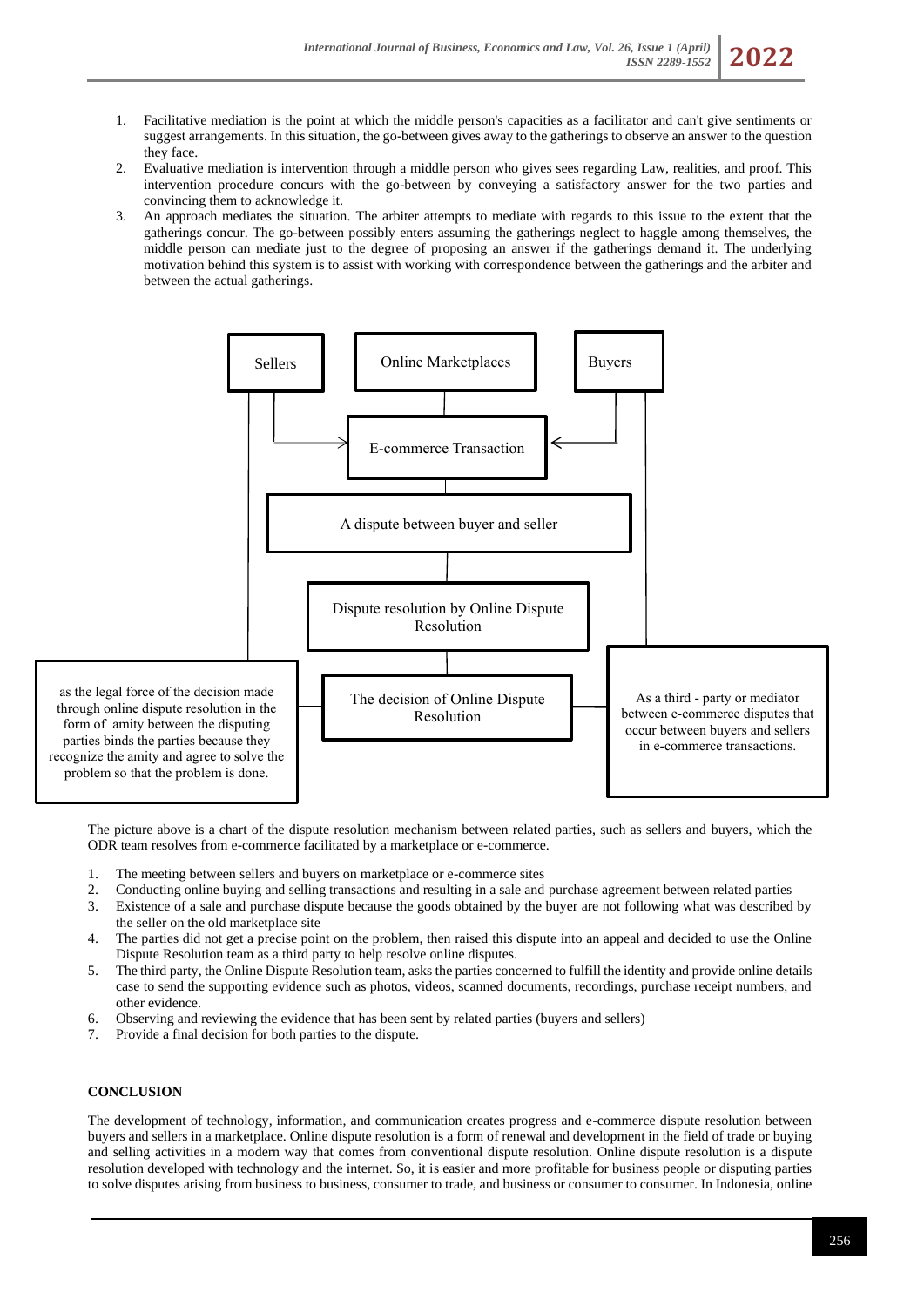- 1. Facilitative mediation is the point at which the middle person's capacities as a facilitator and can't give sentiments or suggest arrangements. In this situation, the go-between gives away to the gatherings to observe an answer to the question they face.
- 2. Evaluative mediation is intervention through a middle person who gives sees regarding Law, realities, and proof. This intervention procedure concurs with the go-between by conveying a satisfactory answer for the two parties and convincing them to acknowledge it.
- 3. An approach mediates the situation. The arbiter attempts to mediate with regards to this issue to the extent that the gatherings concur. The go-between possibly enters assuming the gatherings neglect to haggle among themselves, the middle person can mediate just to the degree of proposing an answer if the gatherings demand it. The underlying motivation behind this system is to assist with working with correspondence between the gatherings and the arbiter and between the actual gatherings.



The picture above is a chart of the dispute resolution mechanism between related parties, such as sellers and buyers, which the ODR team resolves from e-commerce facilitated by a marketplace or e-commerce.

- 1. The meeting between sellers and buyers on marketplace or e-commerce sites
- 2. Conducting online buying and selling transactions and resulting in a sale and purchase agreement between related parties
- 3. Existence of a sale and purchase dispute because the goods obtained by the buyer are not following what was described by the seller on the old marketplace site
- 4. The parties did not get a precise point on the problem, then raised this dispute into an appeal and decided to use the Online Dispute Resolution team as a third party to help resolve online disputes.
- 5. The third party, the Online Dispute Resolution team, asks the parties concerned to fulfill the identity and provide online details case to send the supporting evidence such as photos, videos, scanned documents, recordings, purchase receipt numbers, and other evidence.
- 6. Observing and reviewing the evidence that has been sent by related parties (buyers and sellers)
- 7. Provide a final decision for both parties to the dispute.

### **CONCLUSION**

The development of technology, information, and communication creates progress and e-commerce dispute resolution between buyers and sellers in a marketplace. Online dispute resolution is a form of renewal and development in the field of trade or buying and selling activities in a modern way that comes from conventional dispute resolution. Online dispute resolution is a dispute resolution developed with technology and the internet. So, it is easier and more profitable for business people or disputing parties to solve disputes arising from business to business, consumer to trade, and business or consumer to consumer. In Indonesia, online